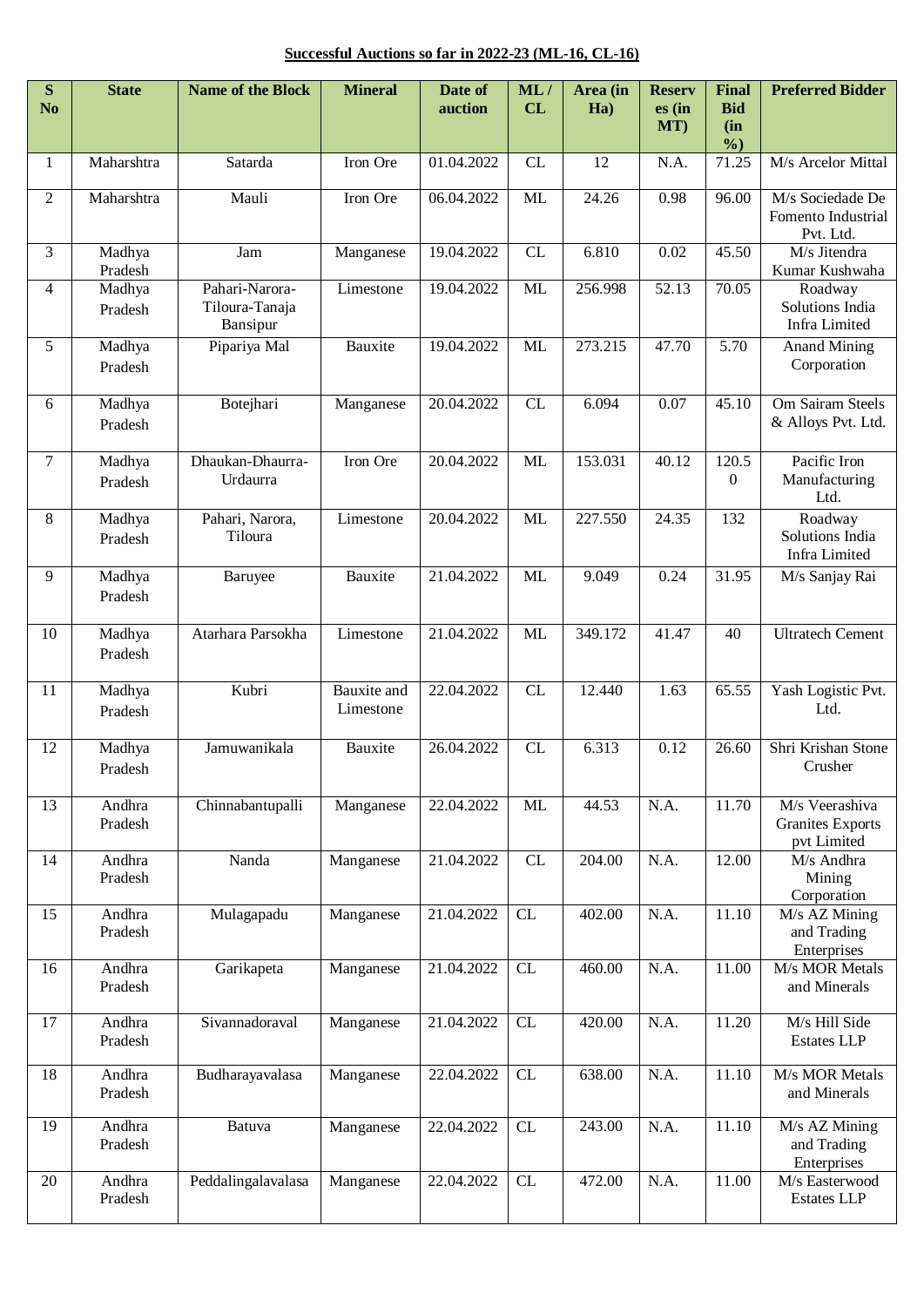**Successful Auctions so far in 2022-23 (ML-16, CL-16)**

| ${\bf S}$<br>N <sub>o</sub> | <b>State</b>      | <b>Name of the Block</b>                     | <b>Mineral</b>           | Date of<br>auction | ML/<br>CL | Area (in<br>Ha) | <b>Reserv</b><br>es (in<br>MT) | <b>Final</b><br><b>Bid</b><br>(in | <b>Preferred Bidder</b>                                  |
|-----------------------------|-------------------|----------------------------------------------|--------------------------|--------------------|-----------|-----------------|--------------------------------|-----------------------------------|----------------------------------------------------------|
|                             | Maharshtra        | Satarda                                      | Iron Ore                 | 01.04.2022         | CL        | 12              | N.A.                           | $\%$<br>71.25                     | M/s Arcelor Mittal                                       |
| 1                           |                   |                                              |                          |                    |           |                 |                                |                                   |                                                          |
| $\overline{2}$              | Maharshtra        | Mauli                                        | Iron Ore                 | 06.04.2022         | ML        | 24.26           | 0.98                           | 96.00                             | M/s Sociedade De<br>Fomento Industrial<br>Pvt. Ltd.      |
| 3                           | Madhya<br>Pradesh | Jam                                          | Manganese                | 19.04.2022         | CL        | 6.810           | 0.02                           | 45.50                             | M/s Jitendra<br>Kumar Kushwaha                           |
| $\overline{4}$              | Madhya<br>Pradesh | Pahari-Narora-<br>Tiloura-Tanaja<br>Bansipur | Limestone                | 19.04.2022         | ML        | 256.998         | 52.13                          | 70.05                             | Roadway<br>Solutions India<br>Infra Limited              |
| 5                           | Madhya<br>Pradesh | Pipariya Mal                                 | Bauxite                  | 19.04.2022         | ML        | 273.215         | 47.70                          | 5.70                              | <b>Anand Mining</b><br>Corporation                       |
| 6                           | Madhya<br>Pradesh | Botejhari                                    | Manganese                | 20.04.2022         | CL        | 6.094           | 0.07                           | 45.10                             | Om Sairam Steels<br>& Alloys Pvt. Ltd.                   |
| $7\phantom{.0}$             | Madhya<br>Pradesh | Dhaukan-Dhaurra-<br>Urdaurra                 | Iron Ore                 | 20.04.2022         | ML        | 153.031         | 40.12                          | 120.5<br>$\boldsymbol{0}$         | Pacific Iron<br>Manufacturing<br>Ltd.                    |
| 8                           | Madhya<br>Pradesh | Pahari, Narora,<br>Tiloura                   | Limestone                | 20.04.2022         | ML        | 227.550         | 24.35                          | 132                               | Roadway<br>Solutions India<br><b>Infra Limited</b>       |
| 9                           | Madhya<br>Pradesh | Baruyee                                      | Bauxite                  | 21.04.2022         | <b>ML</b> | 9.049           | 0.24                           | 31.95                             | M/s Sanjay Rai                                           |
| 10                          | Madhya<br>Pradesh | Atarhara Parsokha                            | Limestone                | 21.04.2022         | ML        | 349.172         | 41.47                          | 40                                | <b>Ultratech Cement</b>                                  |
| 11                          | Madhya<br>Pradesh | Kubri                                        | Bauxite and<br>Limestone | 22.04.2022         | CL        | 12.440          | 1.63                           | 65.55                             | Yash Logistic Pvt.<br>Ltd.                               |
| 12                          | Madhya<br>Pradesh | Jamuwanikala                                 | Bauxite                  | 26.04.2022         | CL        | 6.313           | 0.12                           | 26.60                             | Shri Krishan Stone<br>Crusher                            |
| 13                          | Andhra<br>Pradesh | Chinnabantupalli                             | Manganese                | 22.04.2022         | <b>ML</b> | 44.53           | N.A.                           | 11.70                             | M/s Veerashiva<br><b>Granites Exports</b><br>pvt Limited |
| 14                          | Andhra<br>Pradesh | Nanda                                        | Manganese                | 21.04.2022         | CL        | 204.00          | N.A.                           | 12.00                             | M/s Andhra<br>Mining<br>Corporation                      |
| 15                          | Andhra<br>Pradesh | Mulagapadu                                   | Manganese                | 21.04.2022         | CL        | 402.00          | N.A.                           | 11.10                             | M/s AZ Mining<br>and Trading<br>Enterprises              |
| 16                          | Andhra<br>Pradesh | Garikapeta                                   | Manganese                | 21.04.2022         | CL        | 460.00          | N.A.                           | 11.00                             | M/s MOR Metals<br>and Minerals                           |
| 17                          | Andhra<br>Pradesh | Sivannadoraval                               | Manganese                | 21.04.2022         | CL        | 420.00          | N.A.                           | 11.20                             | M/s Hill Side<br><b>Estates LLP</b>                      |
| 18                          | Andhra<br>Pradesh | Budharayavalasa                              | Manganese                | 22.04.2022         | CL        | 638.00          | N.A.                           | 11.10                             | M/s MOR Metals<br>and Minerals                           |
| 19                          | Andhra<br>Pradesh | Batuva                                       | Manganese                | 22.04.2022         | CL        | 243.00          | N.A.                           | 11.10                             | M/s AZ Mining<br>and Trading<br>Enterprises              |
| 20                          | Andhra<br>Pradesh | Peddalingalavalasa                           | Manganese                | 22.04.2022         | CL        | 472.00          | N.A.                           | 11.00                             | M/s Easterwood<br><b>Estates LLP</b>                     |